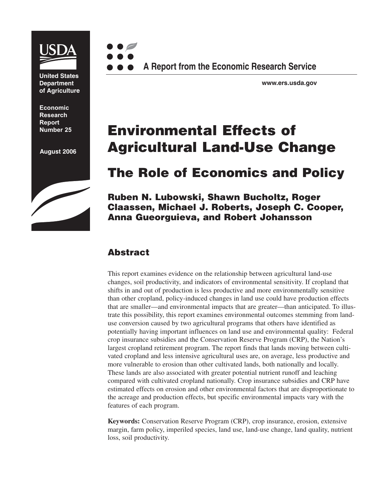

**United States Department of Agriculture**

**Economic Research Report** 

**August 2006**





**www.ers.usda.gov**

# **Number 25 Environmental Effects of Agricultural Land-Use Change**

# **The Role of Economics and Policy**

**Ruben N. Lubowski, Shawn Bucholtz, Roger Claassen, Michael J. Roberts, Joseph C. Cooper, Anna Gueorguieva, and Robert Johansson**

# **Abstract**

This report examines evidence on the relationship between agricultural land-use changes, soil productivity, and indicators of environmental sensitivity. If cropland that shifts in and out of production is less productive and more environmentally sensitive than other cropland, policy-induced changes in land use could have production effects that are smaller—and environmental impacts that are greater—than anticipated. To illustrate this possibility, this report examines environmental outcomes stemming from landuse conversion caused by two agricultural programs that others have identified as potentially having important influences on land use and environmental quality: Federal crop insurance subsidies and the Conservation Reserve Program (CRP), the Nation's largest cropland retirement program. The report finds that lands moving between cultivated cropland and less intensive agricultural uses are, on average, less productive and more vulnerable to erosion than other cultivated lands, both nationally and locally. These lands are also associated with greater potential nutrient runoff and leaching compared with cultivated cropland nationally. Crop insurance subsidies and CRP have estimated effects on erosion and other environmental factors that are disproportionate to the acreage and production effects, but specific environmental impacts vary with the features of each program.

**Keywords:** Conservation Reserve Program (CRP), crop insurance, erosion, extensive margin, farm policy, imperiled species, land use, land-use change, land quality, nutrient loss, soil productivity.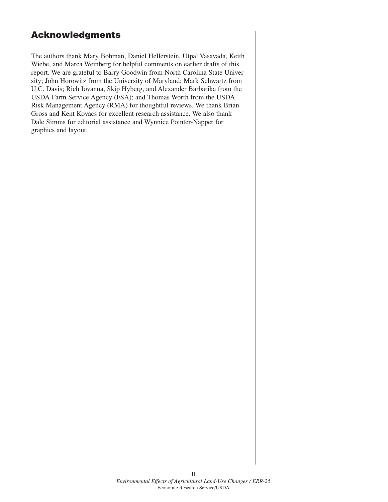#### **Acknowledgments**

The authors thank Mary Bohman, Daniel Hellerstein, Utpal Vasavada, Keith Wiebe, and Marca Weinberg for helpful comments on earlier drafts of this report. We are grateful to Barry Goodwin from North Carolina State University; John Horowitz from the University of Maryland; Mark Schwartz from U.C. Davis; Rich Iovanna, Skip Hyberg, and Alexander Barbarika from the USDA Farm Service Agency (FSA); and Thomas Worth from the USDA Risk Management Agency (RMA) for thoughtful reviews. We thank Brian Gross and Kent Kovacs for excellent research assistance. We also thank Dale Simms for editorial assistance and Wynnice Pointer-Napper for graphics and layout.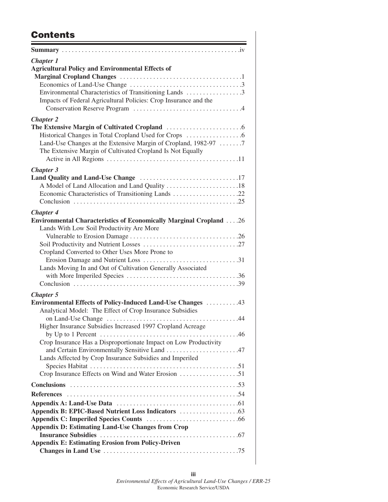## **Contents**

| <b>Chapter 1</b>                                                                                                       |
|------------------------------------------------------------------------------------------------------------------------|
| <b>Agricultural Policy and Environmental Effects of</b>                                                                |
|                                                                                                                        |
|                                                                                                                        |
| Environmental Characteristics of Transitioning Lands 3                                                                 |
| Impacts of Federal Agricultural Policies: Crop Insurance and the                                                       |
| <b>Chapter 2</b>                                                                                                       |
|                                                                                                                        |
|                                                                                                                        |
| Land-Use Changes at the Extensive Margin of Cropland, 1982-97 7                                                        |
| The Extensive Margin of Cultivated Cropland Is Not Equally                                                             |
|                                                                                                                        |
| <b>Chapter 3</b>                                                                                                       |
|                                                                                                                        |
| A Model of Land Allocation and Land Quality 18<br>Economic Characteristics of Transitioning Lands 22                   |
|                                                                                                                        |
|                                                                                                                        |
| <b>Chapter 4</b>                                                                                                       |
| <b>Environmental Characteristics of Economically Marginal Cropland</b> 26<br>Lands With Low Soil Productivity Are More |
|                                                                                                                        |
|                                                                                                                        |
| Cropland Converted to Other Uses More Prone to                                                                         |
|                                                                                                                        |
| Lands Moving In and Out of Cultivation Generally Associated                                                            |
|                                                                                                                        |
|                                                                                                                        |
| <b>Chapter 5</b>                                                                                                       |
| Environmental Effects of Policy-Induced Land-Use Changes  43                                                           |
| Analytical Model: The Effect of Crop Insurance Subsidies                                                               |
|                                                                                                                        |
| Higher Insurance Subsidies Increased 1997 Cropland Acreage                                                             |
|                                                                                                                        |
| Crop Insurance Has a Disproportionate Impact on Low Productivity<br>and Certain Environmentally Sensitive Land 47      |
| Lands Affected by Crop Insurance Subsidies and Imperiled                                                               |
|                                                                                                                        |
| Crop Insurance Effects on Wind and Water Erosion 51                                                                    |
|                                                                                                                        |
|                                                                                                                        |
|                                                                                                                        |
|                                                                                                                        |
|                                                                                                                        |
| <b>Appendix D: Estimating Land-Use Changes from Crop</b>                                                               |
|                                                                                                                        |
| <b>Appendix E: Estimating Erosion from Policy-Driven</b>                                                               |
|                                                                                                                        |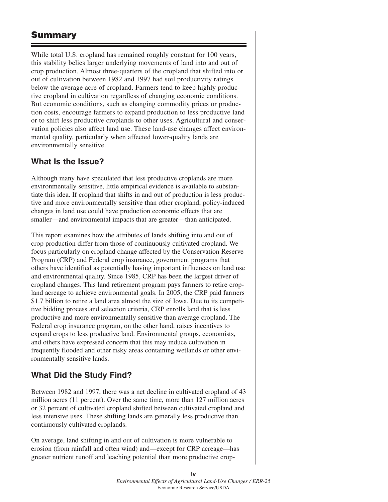### **Summary**

While total U.S. cropland has remained roughly constant for 100 years, this stability belies larger underlying movements of land into and out of crop production. Almost three-quarters of the cropland that shifted into or out of cultivation between 1982 and 1997 had soil productivity ratings below the average acre of cropland. Farmers tend to keep highly productive cropland in cultivation regardless of changing economic conditions. But economic conditions, such as changing commodity prices or production costs, encourage farmers to expand production to less productive land or to shift less productive croplands to other uses. Agricultural and conservation policies also affect land use. These land-use changes affect environmental quality, particularly when affected lower-quality lands are environmentally sensitive.

#### **What Is the Issue?**

Although many have speculated that less productive croplands are more environmentally sensitive, little empirical evidence is available to substantiate this idea. If cropland that shifts in and out of production is less productive and more environmentally sensitive than other cropland, policy-induced changes in land use could have production economic effects that are smaller—and environmental impacts that are greater—than anticipated.

This report examines how the attributes of lands shifting into and out of crop production differ from those of continuously cultivated cropland. We focus particularly on cropland change affected by the Conservation Reserve Program (CRP) and Federal crop insurance, government programs that others have identified as potentially having important influences on land use and environmental quality. Since 1985, CRP has been the largest driver of cropland changes. This land retirement program pays farmers to retire cropland acreage to achieve environmental goals. In 2005, the CRP paid farmers \$1.7 billion to retire a land area almost the size of Iowa. Due to its competitive bidding process and selection criteria, CRP enrolls land that is less productive and more environmentally sensitive than average cropland. The Federal crop insurance program, on the other hand, raises incentives to expand crops to less productive land. Environmental groups, economists, and others have expressed concern that this may induce cultivation in frequently flooded and other risky areas containing wetlands or other environmentally sensitive lands.

#### **What Did the Study Find?**

Between 1982 and 1997, there was a net decline in cultivated cropland of 43 million acres (11 percent). Over the same time, more than 127 million acres or 32 percent of cultivated cropland shifted between cultivated cropland and less intensive uses. These shifting lands are generally less productive than continuously cultivated croplands.

On average, land shifting in and out of cultivation is more vulnerable to erosion (from rainfall and often wind) and—except for CRP acreage—has greater nutrient runoff and leaching potential than more productive crop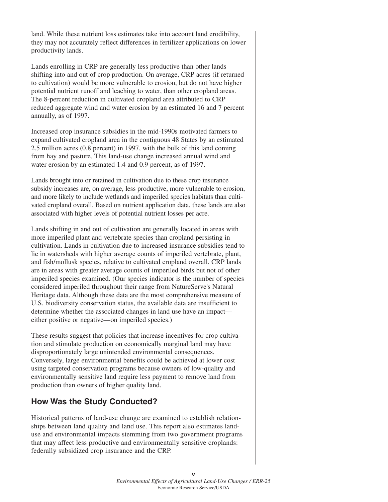land. While these nutrient loss estimates take into account land erodibility, they may not accurately reflect differences in fertilizer applications on lower productivity lands.

Lands enrolling in CRP are generally less productive than other lands shifting into and out of crop production. On average, CRP acres (if returned to cultivation) would be more vulnerable to erosion, but do not have higher potential nutrient runoff and leaching to water, than other cropland areas. The 8-percent reduction in cultivated cropland area attributed to CRP reduced aggregate wind and water erosion by an estimated 16 and 7 percent annually, as of 1997.

Increased crop insurance subsidies in the mid-1990s motivated farmers to expand cultivated cropland area in the contiguous 48 States by an estimated 2.5 million acres (0.8 percent) in 1997, with the bulk of this land coming from hay and pasture. This land-use change increased annual wind and water erosion by an estimated 1.4 and 0.9 percent, as of 1997.

Lands brought into or retained in cultivation due to these crop insurance subsidy increases are, on average, less productive, more vulnerable to erosion, and more likely to include wetlands and imperiled species habitats than cultivated cropland overall. Based on nutrient application data, these lands are also associated with higher levels of potential nutrient losses per acre.

Lands shifting in and out of cultivation are generally located in areas with more imperiled plant and vertebrate species than cropland persisting in cultivation. Lands in cultivation due to increased insurance subsidies tend to lie in watersheds with higher average counts of imperiled vertebrate, plant, and fish/mollusk species, relative to cultivated cropland overall. CRP lands are in areas with greater average counts of imperiled birds but not of other imperiled species examined. (Our species indicator is the number of species considered imperiled throughout their range from NatureServe's Natural Heritage data. Although these data are the most comprehensive measure of U.S. biodiversity conservation status, the available data are insufficient to determine whether the associated changes in land use have an impact either positive or negative—on imperiled species.)

These results suggest that policies that increase incentives for crop cultivation and stimulate production on economically marginal land may have disproportionately large unintended environmental consequences. Conversely, large environmental benefits could be achieved at lower cost using targeted conservation programs because owners of low-quality and environmentally sensitive land require less payment to remove land from production than owners of higher quality land.

#### **How Was the Study Conducted?**

Historical patterns of land-use change are examined to establish relationships between land quality and land use. This report also estimates landuse and environmental impacts stemming from two government programs that may affect less productive and environmentally sensitive croplands: federally subsidized crop insurance and the CRP.